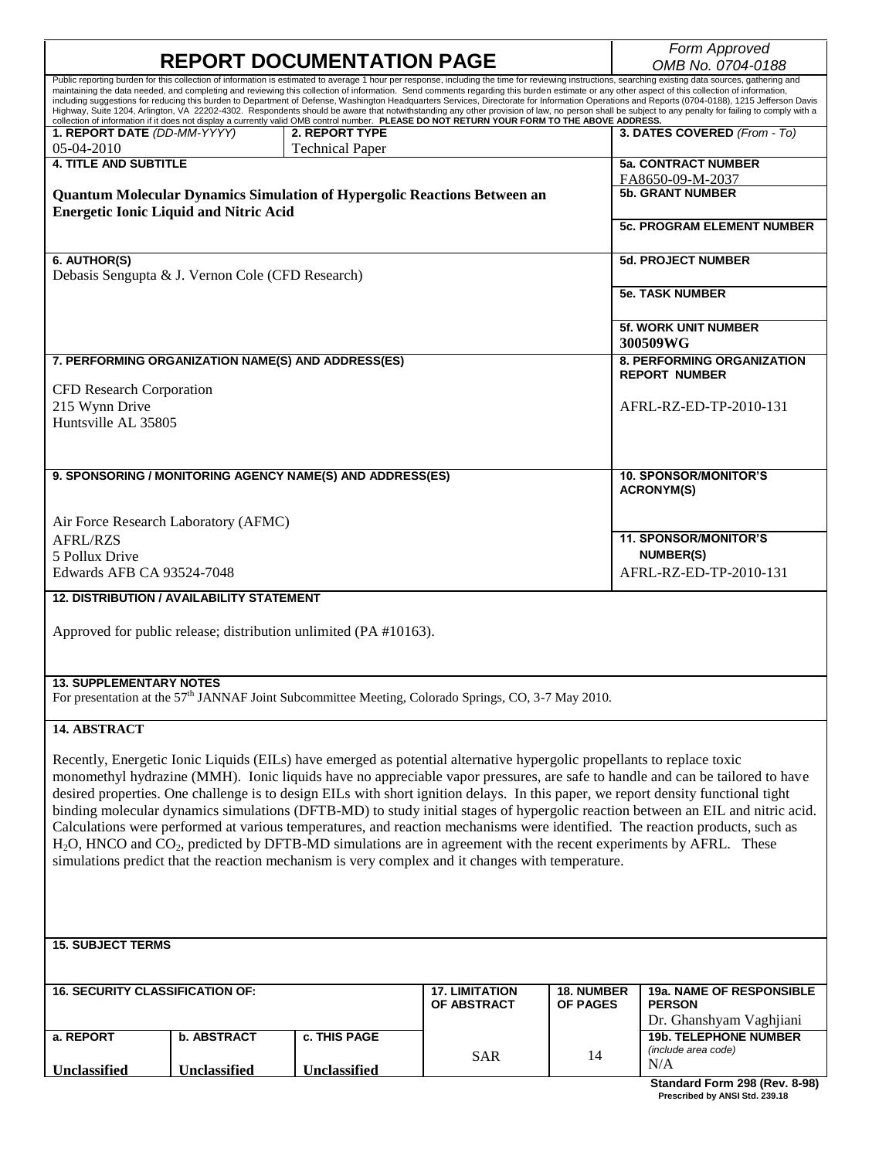| <b>REPORT DOCUMENTATION PAGE</b>                                                                                                                                                                                                                                                                                                                                                                                                                                                                                                                                                                                                                                                                                                                                                                                                                                                                                                                               |                                                                                 |                                                           |                       |                           | Form Approved                                       |
|----------------------------------------------------------------------------------------------------------------------------------------------------------------------------------------------------------------------------------------------------------------------------------------------------------------------------------------------------------------------------------------------------------------------------------------------------------------------------------------------------------------------------------------------------------------------------------------------------------------------------------------------------------------------------------------------------------------------------------------------------------------------------------------------------------------------------------------------------------------------------------------------------------------------------------------------------------------|---------------------------------------------------------------------------------|-----------------------------------------------------------|-----------------------|---------------------------|-----------------------------------------------------|
|                                                                                                                                                                                                                                                                                                                                                                                                                                                                                                                                                                                                                                                                                                                                                                                                                                                                                                                                                                |                                                                                 |                                                           |                       |                           | OMB No. 0704-0188                                   |
| Public reporting burden for this collection of information is estimated to average 1 hour per response, including the time for reviewing instructions, searching existing data sources, gathering and<br>maintaining the data needed, and completing and reviewing this collection of information. Send comments regarding this burden estimate or any other aspect of this collection of information,<br>including suggestions for reducing this burden to Department of Defense, Washington Headquarters Services, Directorate for Information Operations and Reports (0704-0188), 1215 Jefferson Davis<br>Highway, Suite 1204, Arlington, VA 22202-4302. Respondents should be aware that notwithstanding any other provision of law, no person shall be subject to any penalty for failing to comply with a<br>collection of information if it does not display a currently valid OMB control number. PLEASE DO NOT RETURN YOUR FORM TO THE ABOVE ADDRESS. |                                                                                 |                                                           |                       |                           |                                                     |
| 1. REPORT DATE (DD-MM-YYYY)<br>05-04-2010                                                                                                                                                                                                                                                                                                                                                                                                                                                                                                                                                                                                                                                                                                                                                                                                                                                                                                                      |                                                                                 | 2. REPORT TYPE<br><b>Technical Paper</b>                  |                       |                           | 3. DATES COVERED (From - To)                        |
| <b>4. TITLE AND SUBTITLE</b>                                                                                                                                                                                                                                                                                                                                                                                                                                                                                                                                                                                                                                                                                                                                                                                                                                                                                                                                   |                                                                                 |                                                           |                       |                           | <b>5a. CONTRACT NUMBER</b>                          |
|                                                                                                                                                                                                                                                                                                                                                                                                                                                                                                                                                                                                                                                                                                                                                                                                                                                                                                                                                                |                                                                                 |                                                           |                       | FA8650-09-M-2037          |                                                     |
| <b>Energetic Ionic Liquid and Nitric Acid</b>                                                                                                                                                                                                                                                                                                                                                                                                                                                                                                                                                                                                                                                                                                                                                                                                                                                                                                                  | <b>Quantum Molecular Dynamics Simulation of Hypergolic Reactions Between an</b> |                                                           |                       | <b>5b. GRANT NUMBER</b>   |                                                     |
|                                                                                                                                                                                                                                                                                                                                                                                                                                                                                                                                                                                                                                                                                                                                                                                                                                                                                                                                                                |                                                                                 |                                                           |                       |                           | <b>5c. PROGRAM ELEMENT NUMBER</b>                   |
| 6. AUTHOR(S)<br>Debasis Sengupta & J. Vernon Cole (CFD Research)                                                                                                                                                                                                                                                                                                                                                                                                                                                                                                                                                                                                                                                                                                                                                                                                                                                                                               |                                                                                 |                                                           |                       | <b>5d. PROJECT NUMBER</b> |                                                     |
|                                                                                                                                                                                                                                                                                                                                                                                                                                                                                                                                                                                                                                                                                                                                                                                                                                                                                                                                                                |                                                                                 |                                                           |                       |                           | <b>5e. TASK NUMBER</b>                              |
|                                                                                                                                                                                                                                                                                                                                                                                                                                                                                                                                                                                                                                                                                                                                                                                                                                                                                                                                                                |                                                                                 |                                                           |                       |                           | <b>5f. WORK UNIT NUMBER</b><br>300509WG             |
| 7. PERFORMING ORGANIZATION NAME(S) AND ADDRESS(ES)                                                                                                                                                                                                                                                                                                                                                                                                                                                                                                                                                                                                                                                                                                                                                                                                                                                                                                             |                                                                                 |                                                           |                       |                           | <b>8. PERFORMING ORGANIZATION</b>                   |
| CFD Research Corporation                                                                                                                                                                                                                                                                                                                                                                                                                                                                                                                                                                                                                                                                                                                                                                                                                                                                                                                                       |                                                                                 |                                                           |                       |                           | <b>REPORT NUMBER</b>                                |
| 215 Wynn Drive                                                                                                                                                                                                                                                                                                                                                                                                                                                                                                                                                                                                                                                                                                                                                                                                                                                                                                                                                 |                                                                                 |                                                           |                       |                           | AFRL-RZ-ED-TP-2010-131                              |
| Huntsville AL 35805                                                                                                                                                                                                                                                                                                                                                                                                                                                                                                                                                                                                                                                                                                                                                                                                                                                                                                                                            |                                                                                 |                                                           |                       |                           |                                                     |
|                                                                                                                                                                                                                                                                                                                                                                                                                                                                                                                                                                                                                                                                                                                                                                                                                                                                                                                                                                |                                                                                 |                                                           |                       |                           |                                                     |
|                                                                                                                                                                                                                                                                                                                                                                                                                                                                                                                                                                                                                                                                                                                                                                                                                                                                                                                                                                |                                                                                 | 9. SPONSORING / MONITORING AGENCY NAME(S) AND ADDRESS(ES) |                       |                           | <b>10. SPONSOR/MONITOR'S</b>                        |
|                                                                                                                                                                                                                                                                                                                                                                                                                                                                                                                                                                                                                                                                                                                                                                                                                                                                                                                                                                |                                                                                 |                                                           |                       |                           | <b>ACRONYM(S)</b>                                   |
| Air Force Research Laboratory (AFMC)                                                                                                                                                                                                                                                                                                                                                                                                                                                                                                                                                                                                                                                                                                                                                                                                                                                                                                                           |                                                                                 |                                                           |                       |                           |                                                     |
| <b>AFRL/RZS</b>                                                                                                                                                                                                                                                                                                                                                                                                                                                                                                                                                                                                                                                                                                                                                                                                                                                                                                                                                |                                                                                 |                                                           |                       |                           | <b>11. SPONSOR/MONITOR'S</b>                        |
| 5 Pollux Drive                                                                                                                                                                                                                                                                                                                                                                                                                                                                                                                                                                                                                                                                                                                                                                                                                                                                                                                                                 |                                                                                 |                                                           |                       |                           | <b>NUMBER(S)</b>                                    |
| Edwards AFB CA 93524-7048                                                                                                                                                                                                                                                                                                                                                                                                                                                                                                                                                                                                                                                                                                                                                                                                                                                                                                                                      |                                                                                 |                                                           |                       |                           | AFRL-RZ-ED-TP-2010-131                              |
| <b>12. DISTRIBUTION / AVAILABILITY STATEMENT</b>                                                                                                                                                                                                                                                                                                                                                                                                                                                                                                                                                                                                                                                                                                                                                                                                                                                                                                               |                                                                                 |                                                           |                       |                           |                                                     |
|                                                                                                                                                                                                                                                                                                                                                                                                                                                                                                                                                                                                                                                                                                                                                                                                                                                                                                                                                                |                                                                                 |                                                           |                       |                           |                                                     |
| Approved for public release; distribution unlimited (PA #10163).                                                                                                                                                                                                                                                                                                                                                                                                                                                                                                                                                                                                                                                                                                                                                                                                                                                                                               |                                                                                 |                                                           |                       |                           |                                                     |
|                                                                                                                                                                                                                                                                                                                                                                                                                                                                                                                                                                                                                                                                                                                                                                                                                                                                                                                                                                |                                                                                 |                                                           |                       |                           |                                                     |
| <b>13. SUPPLEMENTARY NOTES</b>                                                                                                                                                                                                                                                                                                                                                                                                                                                                                                                                                                                                                                                                                                                                                                                                                                                                                                                                 |                                                                                 |                                                           |                       |                           |                                                     |
| For presentation at the 57 <sup>th</sup> JANNAF Joint Subcommittee Meeting, Colorado Springs, CO, 3-7 May 2010.                                                                                                                                                                                                                                                                                                                                                                                                                                                                                                                                                                                                                                                                                                                                                                                                                                                |                                                                                 |                                                           |                       |                           |                                                     |
| 14. ABSTRACT                                                                                                                                                                                                                                                                                                                                                                                                                                                                                                                                                                                                                                                                                                                                                                                                                                                                                                                                                   |                                                                                 |                                                           |                       |                           |                                                     |
|                                                                                                                                                                                                                                                                                                                                                                                                                                                                                                                                                                                                                                                                                                                                                                                                                                                                                                                                                                |                                                                                 |                                                           |                       |                           |                                                     |
| Recently, Energetic Ionic Liquids (EILs) have emerged as potential alternative hypergolic propellants to replace toxic<br>monomethyl hydrazine (MMH). Ionic liquids have no appreciable vapor pressures, are safe to handle and can be tailored to have                                                                                                                                                                                                                                                                                                                                                                                                                                                                                                                                                                                                                                                                                                        |                                                                                 |                                                           |                       |                           |                                                     |
| desired properties. One challenge is to design EILs with short ignition delays. In this paper, we report density functional tight                                                                                                                                                                                                                                                                                                                                                                                                                                                                                                                                                                                                                                                                                                                                                                                                                              |                                                                                 |                                                           |                       |                           |                                                     |
| binding molecular dynamics simulations (DFTB-MD) to study initial stages of hypergolic reaction between an EIL and nitric acid.                                                                                                                                                                                                                                                                                                                                                                                                                                                                                                                                                                                                                                                                                                                                                                                                                                |                                                                                 |                                                           |                       |                           |                                                     |
| Calculations were performed at various temperatures, and reaction mechanisms were identified. The reaction products, such as                                                                                                                                                                                                                                                                                                                                                                                                                                                                                                                                                                                                                                                                                                                                                                                                                                   |                                                                                 |                                                           |                       |                           |                                                     |
| $H_2O$ , HNCO and CO <sub>2</sub> , predicted by DFTB-MD simulations are in agreement with the recent experiments by AFRL. These                                                                                                                                                                                                                                                                                                                                                                                                                                                                                                                                                                                                                                                                                                                                                                                                                               |                                                                                 |                                                           |                       |                           |                                                     |
| simulations predict that the reaction mechanism is very complex and it changes with temperature.                                                                                                                                                                                                                                                                                                                                                                                                                                                                                                                                                                                                                                                                                                                                                                                                                                                               |                                                                                 |                                                           |                       |                           |                                                     |
|                                                                                                                                                                                                                                                                                                                                                                                                                                                                                                                                                                                                                                                                                                                                                                                                                                                                                                                                                                |                                                                                 |                                                           |                       |                           |                                                     |
|                                                                                                                                                                                                                                                                                                                                                                                                                                                                                                                                                                                                                                                                                                                                                                                                                                                                                                                                                                |                                                                                 |                                                           |                       |                           |                                                     |
|                                                                                                                                                                                                                                                                                                                                                                                                                                                                                                                                                                                                                                                                                                                                                                                                                                                                                                                                                                |                                                                                 |                                                           |                       |                           |                                                     |
| <b>15. SUBJECT TERMS</b>                                                                                                                                                                                                                                                                                                                                                                                                                                                                                                                                                                                                                                                                                                                                                                                                                                                                                                                                       |                                                                                 |                                                           |                       |                           |                                                     |
|                                                                                                                                                                                                                                                                                                                                                                                                                                                                                                                                                                                                                                                                                                                                                                                                                                                                                                                                                                |                                                                                 |                                                           |                       |                           |                                                     |
| <b>16. SECURITY CLASSIFICATION OF:</b>                                                                                                                                                                                                                                                                                                                                                                                                                                                                                                                                                                                                                                                                                                                                                                                                                                                                                                                         |                                                                                 |                                                           | <b>17. LIMITATION</b> | 18. NUMBER                | 19a. NAME OF RESPONSIBLE                            |
|                                                                                                                                                                                                                                                                                                                                                                                                                                                                                                                                                                                                                                                                                                                                                                                                                                                                                                                                                                |                                                                                 |                                                           | OF ABSTRACT           | OF PAGES                  | <b>PERSON</b>                                       |
|                                                                                                                                                                                                                                                                                                                                                                                                                                                                                                                                                                                                                                                                                                                                                                                                                                                                                                                                                                |                                                                                 |                                                           |                       |                           | Dr. Ghanshyam Vaghjiani                             |
| a. REPORT                                                                                                                                                                                                                                                                                                                                                                                                                                                                                                                                                                                                                                                                                                                                                                                                                                                                                                                                                      | <b>b. ABSTRACT</b>                                                              | c. THIS PAGE                                              |                       |                           | <b>19b. TELEPHONE NUMBER</b><br>(include area code) |
| Unclassified                                                                                                                                                                                                                                                                                                                                                                                                                                                                                                                                                                                                                                                                                                                                                                                                                                                                                                                                                   | <b>Unclassified</b>                                                             | Unclassified                                              | <b>SAR</b>            | 14                        | N/A                                                 |
|                                                                                                                                                                                                                                                                                                                                                                                                                                                                                                                                                                                                                                                                                                                                                                                                                                                                                                                                                                |                                                                                 |                                                           |                       |                           | Standard Form 298 (Rev. 8-98)                       |

**Standard Form 298 (Rev. 8-98) Prescribed by ANSI Std. 239.18**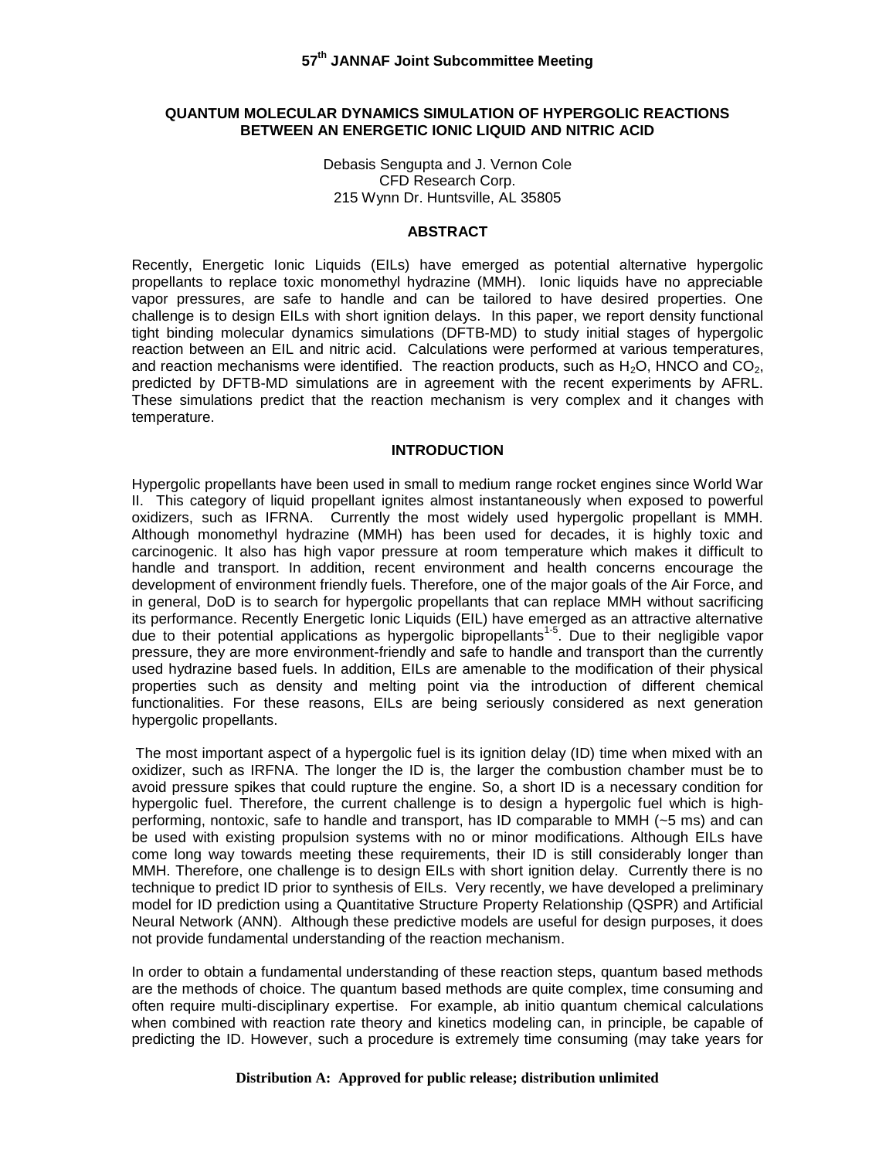# **QUANTUM MOLECULAR DYNAMICS SIMULATION OF HYPERGOLIC REACTIONS BETWEEN AN ENERGETIC IONIC LIQUID AND NITRIC ACID**

Debasis Sengupta and J. Vernon Cole CFD Research Corp. 215 Wynn Dr. Huntsville, AL 35805

#### **ABSTRACT**

Recently, Energetic Ionic Liquids (EILs) have emerged as potential alternative hypergolic propellants to replace toxic monomethyl hydrazine (MMH). Ionic liquids have no appreciable vapor pressures, are safe to handle and can be tailored to have desired properties. One challenge is to design EILs with short ignition delays. In this paper, we report density functional tight binding molecular dynamics simulations (DFTB-MD) to study initial stages of hypergolic reaction between an EIL and nitric acid. Calculations were performed at various temperatures, and reaction mechanisms were identified. The reaction products, such as  $H_2O$ , HNCO and  $CO<sub>2</sub>$ , predicted by DFTB-MD simulations are in agreement with the recent experiments by AFRL. These simulations predict that the reaction mechanism is very complex and it changes with temperature.

# **INTRODUCTION**

Hypergolic propellants have been used in small to medium range rocket engines since World War II. This category of liquid propellant ignites almost instantaneously when exposed to powerful oxidizers, such as IFRNA. Currently the most widely used hypergolic propellant is MMH. Although monomethyl hydrazine (MMH) has been used for decades, it is highly toxic and carcinogenic. It also has high vapor pressure at room temperature which makes it difficult to handle and transport. In addition, recent environment and health concerns encourage the development of environment friendly fuels. Therefore, one of the major goals of the Air Force, and in general, DoD is to search for hypergolic propellants that can replace MMH without sacrificing its performance. Recently Energetic Ionic Liquids (EIL) have emerged as an attractive alternative due to their potential applications as hypergolic bipropellants<sup>1-5</sup>. Due to their negligible vapor pressure, they are more environment-friendly and safe to handle and transport than the currently used hydrazine based fuels. In addition, EILs are amenable to the modification of their physical properties such as density and melting point via the introduction of different chemical functionalities. For these reasons, EILs are being seriously considered as next generation hypergolic propellants.

 The most important aspect of a hypergolic fuel is its ignition delay (ID) time when mixed with an oxidizer, such as IRFNA. The longer the ID is, the larger the combustion chamber must be to avoid pressure spikes that could rupture the engine. So, a short ID is a necessary condition for hypergolic fuel. Therefore, the current challenge is to design a hypergolic fuel which is highperforming, nontoxic, safe to handle and transport, has ID comparable to MMH (~5 ms) and can be used with existing propulsion systems with no or minor modifications. Although EILs have come long way towards meeting these requirements, their ID is still considerably longer than MMH. Therefore, one challenge is to design EILs with short ignition delay. Currently there is no technique to predict ID prior to synthesis of EILs. Very recently, we have developed a preliminary model for ID prediction using a Quantitative Structure Property Relationship (QSPR) and Artificial Neural Network (ANN). Although these predictive models are useful for design purposes, it does not provide fundamental understanding of the reaction mechanism.

In order to obtain a fundamental understanding of these reaction steps, quantum based methods are the methods of choice. The quantum based methods are quite complex, time consuming and often require multi-disciplinary expertise. For example, ab initio quantum chemical calculations when combined with reaction rate theory and kinetics modeling can, in principle, be capable of predicting the ID. However, such a procedure is extremely time consuming (may take years for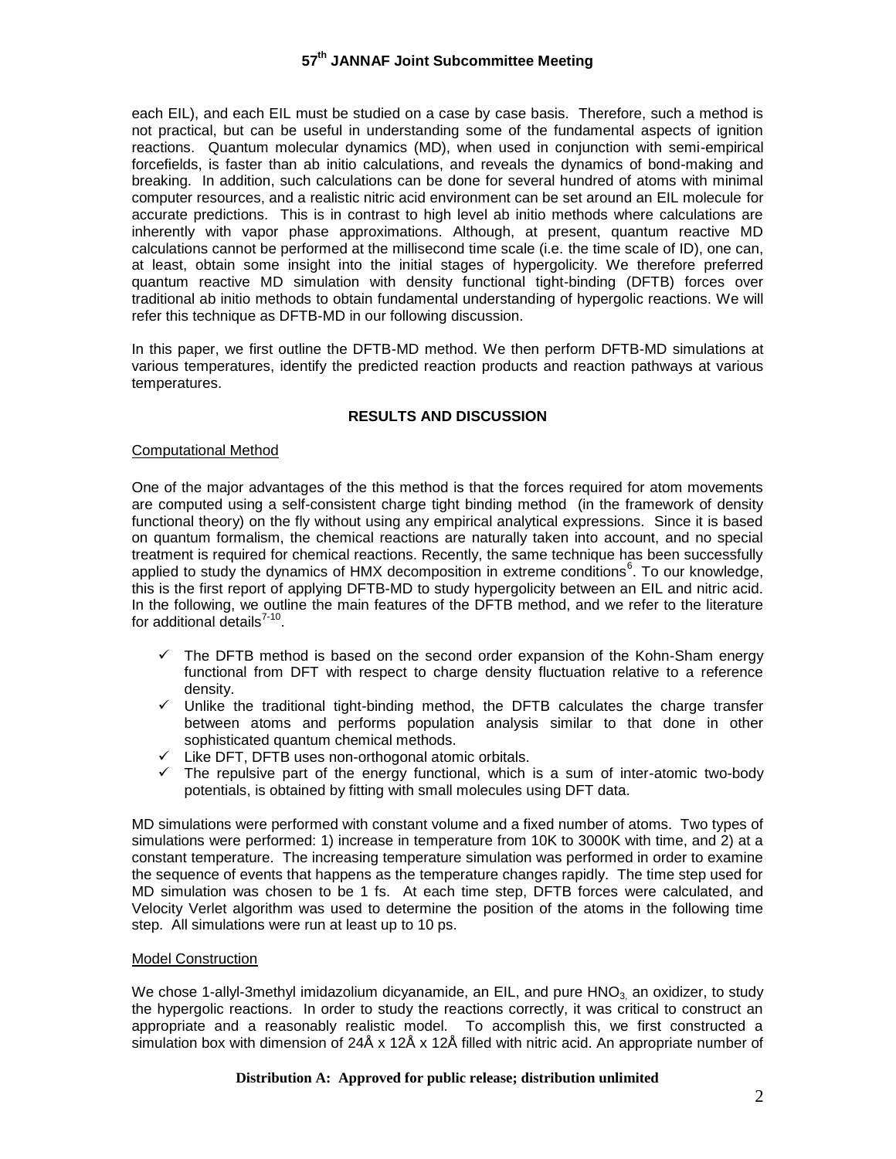each EIL), and each EIL must be studied on a case by case basis. Therefore, such a method is not practical, but can be useful in understanding some of the fundamental aspects of ignition reactions. Quantum molecular dynamics (MD), when used in conjunction with semi-empirical forcefields, is faster than ab initio calculations, and reveals the dynamics of bond-making and breaking. In addition, such calculations can be done for several hundred of atoms with minimal computer resources, and a realistic nitric acid environment can be set around an EIL molecule for accurate predictions. This is in contrast to high level ab initio methods where calculations are inherently with vapor phase approximations. Although, at present, quantum reactive MD calculations cannot be performed at the millisecond time scale (i.e. the time scale of ID), one can, at least, obtain some insight into the initial stages of hypergolicity. We therefore preferred quantum reactive MD simulation with density functional tight-binding (DFTB) forces over traditional ab initio methods to obtain fundamental understanding of hypergolic reactions. We will refer this technique as DFTB-MD in our following discussion.

In this paper, we first outline the DFTB-MD method. We then perform DFTB-MD simulations at various temperatures, identify the predicted reaction products and reaction pathways at various temperatures.

# **RESULTS AND DISCUSSION**

# Computational Method

One of the major advantages of the this method is that the forces required for atom movements are computed using a self-consistent charge tight binding method (in the framework of density functional theory) on the fly without using any empirical analytical expressions. Since it is based on quantum formalism, the chemical reactions are naturally taken into account, and no special treatment is required for chemical reactions. Recently, the same technique has been successfully applied to study the dynamics of HMX decomposition in extreme conditions<sup>6</sup>. To our knowledge, this is the first report of applying DFTB-MD to study hypergolicity between an EIL and nitric acid. In the following, we outline the main features of the DFTB method, and we refer to the literature for additional details<sup>7-10</sup>.

- $\checkmark$  The DFTB method is based on the second order expansion of the Kohn-Sham energy functional from DFT with respect to charge density fluctuation relative to a reference density.
- $\checkmark$  Unlike the traditional tight-binding method, the DFTB calculates the charge transfer between atoms and performs population analysis similar to that done in other sophisticated quantum chemical methods.
- $\checkmark$  Like DFT, DFTB uses non-orthogonal atomic orbitals.
- $\checkmark$  The repulsive part of the energy functional, which is a sum of inter-atomic two-body potentials, is obtained by fitting with small molecules using DFT data.

MD simulations were performed with constant volume and a fixed number of atoms. Two types of simulations were performed: 1) increase in temperature from 10K to 3000K with time, and 2) at a constant temperature. The increasing temperature simulation was performed in order to examine the sequence of events that happens as the temperature changes rapidly. The time step used for MD simulation was chosen to be 1 fs. At each time step, DFTB forces were calculated, and Velocity Verlet algorithm was used to determine the position of the atoms in the following time step. All simulations were run at least up to 10 ps.

# Model Construction

We chose 1-allyl-3methyl imidazolium dicyanamide, an EIL, and pure  $HNO<sub>3</sub>$  an oxidizer, to study the hypergolic reactions. In order to study the reactions correctly, it was critical to construct an appropriate and a reasonably realistic model. To accomplish this, we first constructed a simulation box with dimension of 24Å x 12Å x 12Å filled with nitric acid. An appropriate number of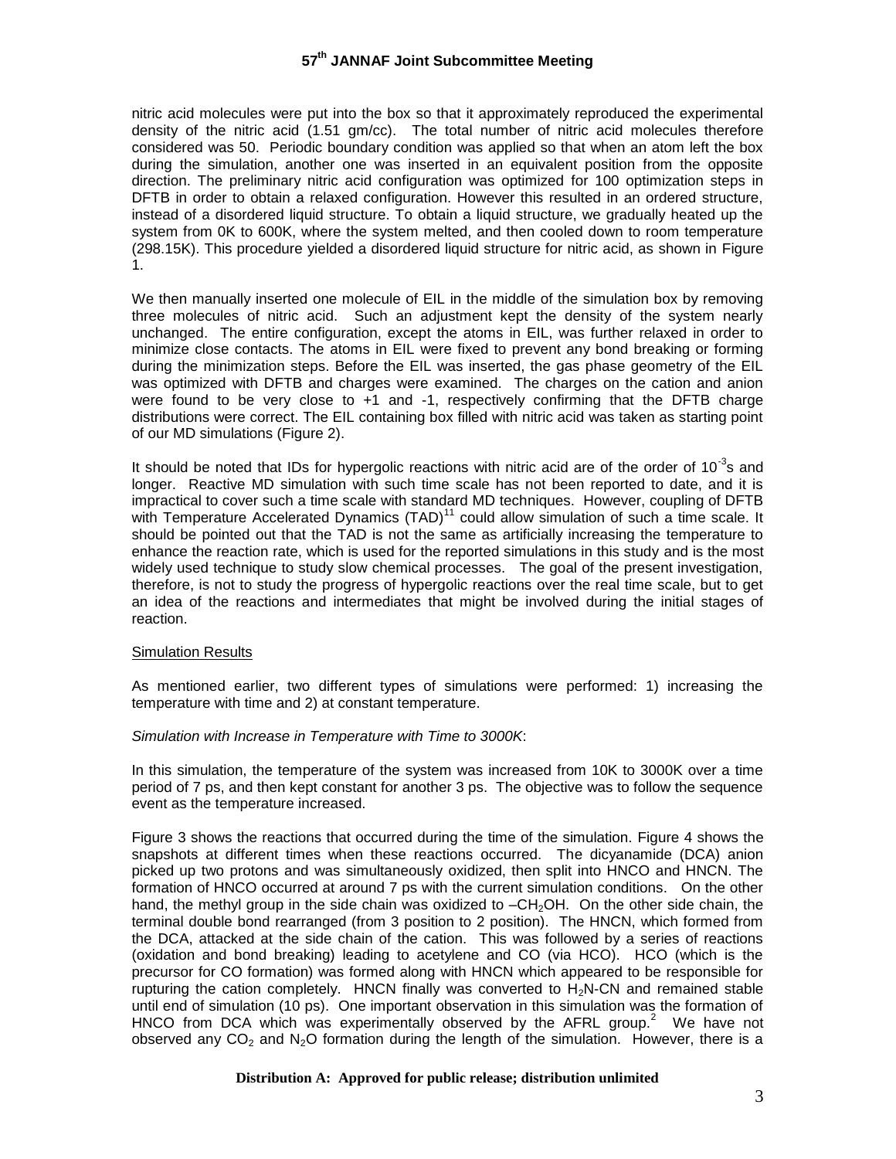# **57th JANNAF Joint Subcommittee Meeting**

nitric acid molecules were put into the box so that it approximately reproduced the experimental density of the nitric acid (1.51 gm/cc). The total number of nitric acid molecules therefore considered was 50. Periodic boundary condition was applied so that when an atom left the box during the simulation, another one was inserted in an equivalent position from the opposite direction. The preliminary nitric acid configuration was optimized for 100 optimization steps in DFTB in order to obtain a relaxed configuration. However this resulted in an ordered structure, instead of a disordered liquid structure. To obtain a liquid structure, we gradually heated up the system from 0K to 600K, where the system melted, and then cooled down to room temperature (298.15K). This procedure yielded a disordered liquid structure for nitric acid, as shown in [Figure](#page-6-0)  [1.](#page-6-0)

We then manually inserted one molecule of EIL in the middle of the simulation box by removing three molecules of nitric acid. Such an adjustment kept the density of the system nearly unchanged. The entire configuration, except the atoms in EIL, was further relaxed in order to minimize close contacts. The atoms in EIL were fixed to prevent any bond breaking or forming during the minimization steps. Before the EIL was inserted, the gas phase geometry of the EIL was optimized with DFTB and charges were examined. The charges on the cation and anion were found to be very close to +1 and -1, respectively confirming that the DFTB charge distributions were correct. The EIL containing box filled with nitric acid was taken as starting point of our MD simulations [\(Figure 2\)](#page-6-1).

It should be noted that IDs for hypergolic reactions with nitric acid are of the order of  $10^{-3}$ s and longer. Reactive MD simulation with such time scale has not been reported to date, and it is impractical to cover such a time scale with standard MD techniques. However, coupling of DFTB with Temperature Accelerated Dynamics  $(TAD)^{11}$  could allow simulation of such a time scale. It should be pointed out that the TAD is not the same as artificially increasing the temperature to enhance the reaction rate, which is used for the reported simulations in this study and is the most widely used technique to study slow chemical processes. The goal of the present investigation, therefore, is not to study the progress of hypergolic reactions over the real time scale, but to get an idea of the reactions and intermediates that might be involved during the initial stages of reaction.

# Simulation Results

As mentioned earlier, two different types of simulations were performed: 1) increasing the temperature with time and 2) at constant temperature.

#### *Simulation with Increase in Temperature with Time to 3000K*:

In this simulation, the temperature of the system was increased from 10K to 3000K over a time period of 7 ps, and then kept constant for another 3 ps. The objective was to follow the sequence event as the temperature increased.

[Figure 3](#page-7-0) shows the reactions that occurred during the time of the simulation. [Figure 4](#page-9-0) shows the snapshots at different times when these reactions occurred. The dicyanamide (DCA) anion picked up two protons and was simultaneously oxidized, then split into HNCO and HNCN. The formation of HNCO occurred at around 7 ps with the current simulation conditions. On the other hand, the methyl group in the side chain was oxidized to  $-CH<sub>2</sub>OH$ . On the other side chain, the terminal double bond rearranged (from 3 position to 2 position). The HNCN, which formed from the DCA, attacked at the side chain of the cation. This was followed by a series of reactions (oxidation and bond breaking) leading to acetylene and CO (via HCO). HCO (which is the precursor for CO formation) was formed along with HNCN which appeared to be responsible for rupturing the cation completely. HNCN finally was converted to  $H_2N$ -CN and remained stable until end of simulation (10 ps). One important observation in this simulation was the formation of HNCO from DCA which was experimentally observed by the AFRL group.<sup>2</sup> We have not observed any  $CO<sub>2</sub>$  and N<sub>2</sub>O formation during the length of the simulation. However, there is a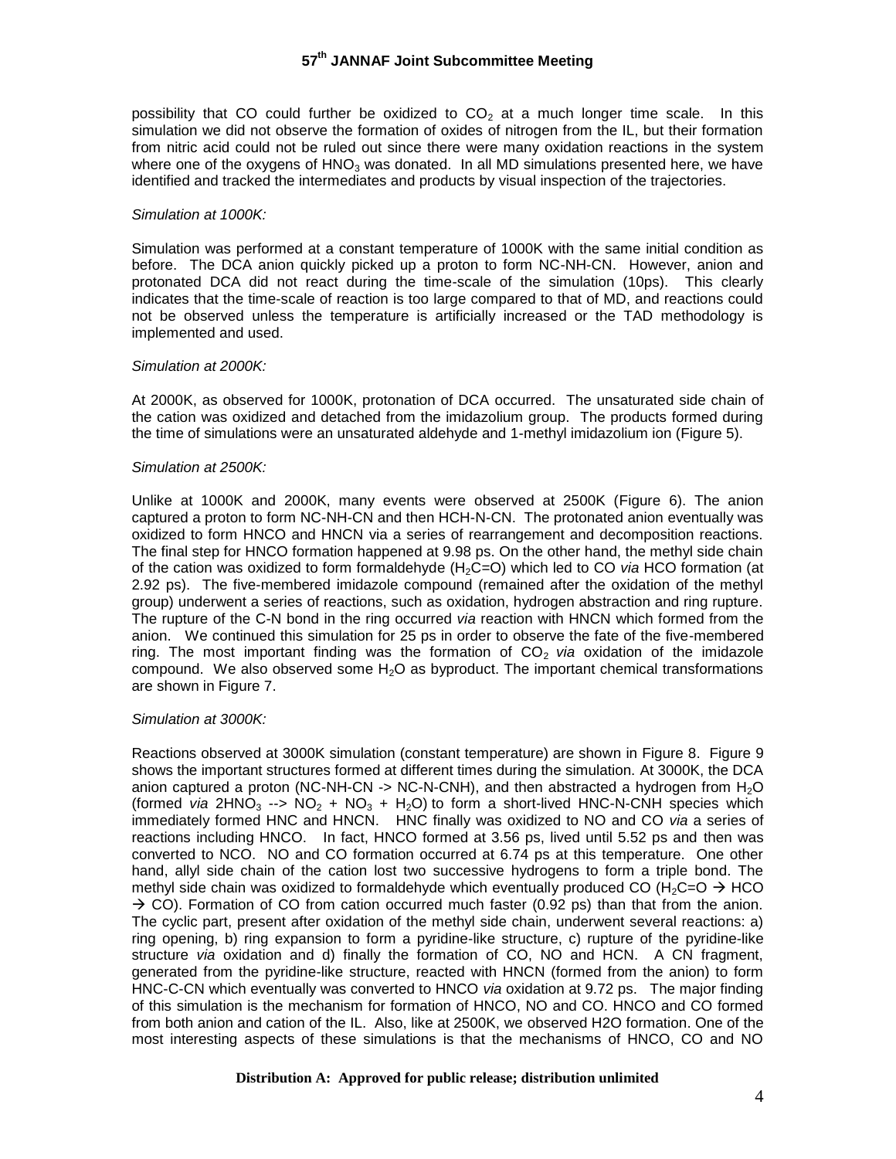possibility that CO could further be oxidized to  $CO<sub>2</sub>$  at a much longer time scale. In this simulation we did not observe the formation of oxides of nitrogen from the IL, but their formation from nitric acid could not be ruled out since there were many oxidation reactions in the system where one of the oxygens of  $HNO<sub>3</sub>$  was donated. In all MD simulations presented here, we have identified and tracked the intermediates and products by visual inspection of the trajectories.

#### *Simulation at 1000K:*

Simulation was performed at a constant temperature of 1000K with the same initial condition as before. The DCA anion quickly picked up a proton to form NC-NH-CN. However, anion and protonated DCA did not react during the time-scale of the simulation (10ps). This clearly indicates that the time-scale of reaction is too large compared to that of MD, and reactions could not be observed unless the temperature is artificially increased or the TAD methodology is implemented and used.

#### *Simulation at 2000K:*

At 2000K, as observed for 1000K, protonation of DCA occurred. The unsaturated side chain of the cation was oxidized and detached from the imidazolium group. The products formed during the time of simulations were an unsaturated aldehyde and 1-methyl imidazolium ion [\(Figure 5\)](#page-9-1).

#### *Simulation at 2500K:*

Unlike at 1000K and 2000K, many events were observed at 2500K [\(Figure 6\)](#page-9-2). The anion captured a proton to form NC-NH-CN and then HCH-N-CN. The protonated anion eventually was oxidized to form HNCO and HNCN via a series of rearrangement and decomposition reactions. The final step for HNCO formation happened at 9.98 ps. On the other hand, the methyl side chain of the cation was oxidized to form formaldehyde (H2C=O) which led to CO *via* HCO formation (at 2.92 ps). The five-membered imidazole compound (remained after the oxidation of the methyl group) underwent a series of reactions, such as oxidation, hydrogen abstraction and ring rupture. The rupture of the C-N bond in the ring occurred *via* reaction with HNCN which formed from the anion. We continued this simulation for 25 ps in order to observe the fate of the five-membered ring. The most important finding was the formation of  $CO<sub>2</sub>$  *via* oxidation of the imidazole compound. We also observed some  $H_2O$  as byproduct. The important chemical transformations are shown in [Figure 7.](#page-12-0)

# *Simulation at 3000K:*

Reactions observed at 3000K simulation (constant temperature) are shown in [Figure 8.](#page-12-1) Figure 9 shows the important structures formed at different times during the simulation. At 3000K, the DCA anion captured a proton (NC-NH-CN -> NC-N-CNH), and then abstracted a hydrogen from  $H_2O$ (formed *via* 2HNO<sub>3</sub> --> NO<sub>2</sub> + NO<sub>3</sub> + H<sub>2</sub>O) to form a short-lived HNC-N-CNH species which immediately formed HNC and HNCN. HNC finally was oxidized to NO and CO *via* a series of reactions including HNCO. In fact, HNCO formed at 3.56 ps, lived until 5.52 ps and then was converted to NCO. NO and CO formation occurred at 6.74 ps at this temperature. One other hand, allyl side chain of the cation lost two successive hydrogens to form a triple bond. The methyl side chain was oxidized to formaldehyde which eventually produced CO (H<sub>2</sub>C=O  $\rightarrow$  HCO  $\rightarrow$  CO). Formation of CO from cation occurred much faster (0.92 ps) than that from the anion. The cyclic part, present after oxidation of the methyl side chain, underwent several reactions: a) ring opening, b) ring expansion to form a pyridine-like structure, c) rupture of the pyridine-like structure *via* oxidation and d) finally the formation of CO, NO and HCN. A CN fragment, generated from the pyridine-like structure, reacted with HNCN (formed from the anion) to form HNC-C-CN which eventually was converted to HNCO *via* oxidation at 9.72 ps. The major finding of this simulation is the mechanism for formation of HNCO, NO and CO. HNCO and CO formed from both anion and cation of the IL. Also, like at 2500K, we observed H2O formation. One of the most interesting aspects of these simulations is that the mechanisms of HNCO, CO and NO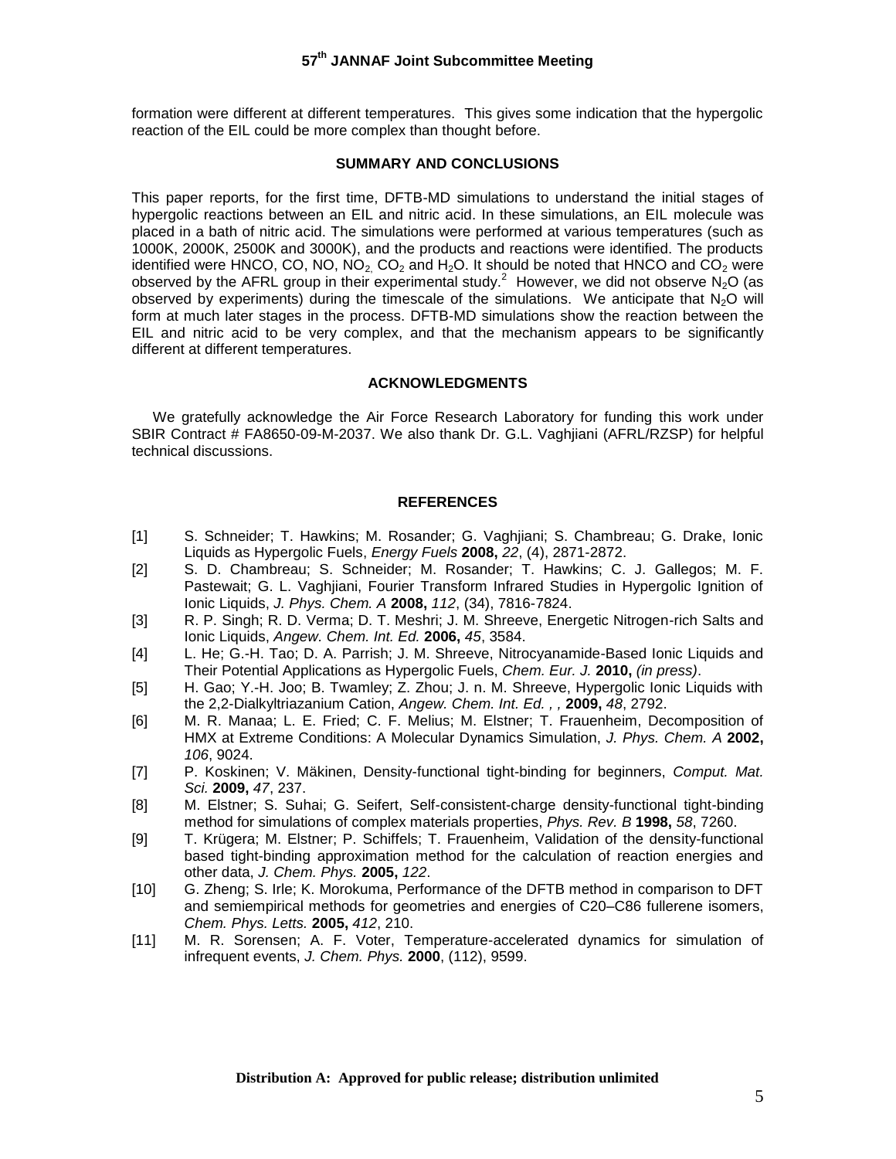# **57th JANNAF Joint Subcommittee Meeting**

formation were different at different temperatures. This gives some indication that the hypergolic reaction of the EIL could be more complex than thought before.

#### **SUMMARY AND CONCLUSIONS**

This paper reports, for the first time, DFTB-MD simulations to understand the initial stages of hypergolic reactions between an EIL and nitric acid. In these simulations, an EIL molecule was placed in a bath of nitric acid. The simulations were performed at various temperatures (such as 1000K, 2000K, 2500K and 3000K), and the products and reactions were identified. The products identified were HNCO, CO, NO, NO<sub>2</sub>, CO<sub>2</sub> and H<sub>2</sub>O. It should be noted that HNCO and CO<sub>2</sub> were observed by the AFRL group in their experimental study.<sup>2</sup> However, we did not observe N<sub>2</sub>O (as observed by experiments) during the timescale of the simulations. We anticipate that  $N<sub>2</sub>O$  will form at much later stages in the process. DFTB-MD simulations show the reaction between the EIL and nitric acid to be very complex, and that the mechanism appears to be significantly different at different temperatures.

#### **ACKNOWLEDGMENTS**

We gratefully acknowledge the Air Force Research Laboratory for funding this work under SBIR Contract # FA8650-09-M-2037. We also thank Dr. G.L. Vaghijani (AFRL/RZSP) for helpful technical discussions.

#### **REFERENCES**

- [1] S. Schneider; T. Hawkins; M. Rosander; G. Vaghjiani; S. Chambreau; G. Drake, Ionic Liquids as Hypergolic Fuels, *Energy Fuels* **2008,** *22*, (4), 2871-2872.
- [2] S. D. Chambreau; S. Schneider; M. Rosander; T. Hawkins; C. J. Gallegos; M. F. Pastewait; G. L. Vaghjiani, Fourier Transform Infrared Studies in Hypergolic Ignition of Ionic Liquids, *J. Phys. Chem. A* **2008,** *112*, (34), 7816-7824.
- [3] R. P. Singh; R. D. Verma; D. T. Meshri; J. M. Shreeve, Energetic Nitrogen-rich Salts and Ionic Liquids, *Angew. Chem. Int. Ed.* **2006,** *45*, 3584.
- [4] L. He; G.-H. Tao; D. A. Parrish; J. M. Shreeve, Nitrocyanamide-Based Ionic Liquids and Their Potential Applications as Hypergolic Fuels, *Chem. Eur. J.* **2010,** *(in press)*.
- [5] H. Gao; Y.-H. Joo; B. Twamley; Z. Zhou; J. n. M. Shreeve, Hypergolic Ionic Liquids with the 2,2-Dialkyltriazanium Cation, *Angew. Chem. Int. Ed. , ,* **2009,** *48*, 2792.
- [6] M. R. Manaa; L. E. Fried; C. F. Melius; M. Elstner; T. Frauenheim, Decomposition of HMX at Extreme Conditions: A Molecular Dynamics Simulation, *J. Phys. Chem. A* **2002,** *106*, 9024.
- [7] P. Koskinen; V. Mäkinen, Density-functional tight-binding for beginners, *Comput. Mat. Sci.* **2009,** *47*, 237.
- [8] M. Elstner; S. Suhai; G. Seifert, Self-consistent-charge density-functional tight-binding method for simulations of complex materials properties, *Phys. Rev. B* **1998,** *58*, 7260.
- [9] T. Krügera; M. Elstner; P. Schiffels; T. Frauenheim, Validation of the density-functional based tight-binding approximation method for the calculation of reaction energies and other data, *J. Chem. Phys.* **2005,** *122*.
- [10] G. Zheng; S. Irle; K. Morokuma, Performance of the DFTB method in comparison to DFT and semiempirical methods for geometries and energies of C20–C86 fullerene isomers, *Chem. Phys. Letts.* **2005,** *412*, 210.
- [11] M. R. Sorensen; A. F. Voter, Temperature-accelerated dynamics for simulation of infrequent events, *J. Chem. Phys.* **2000**, (112), 9599.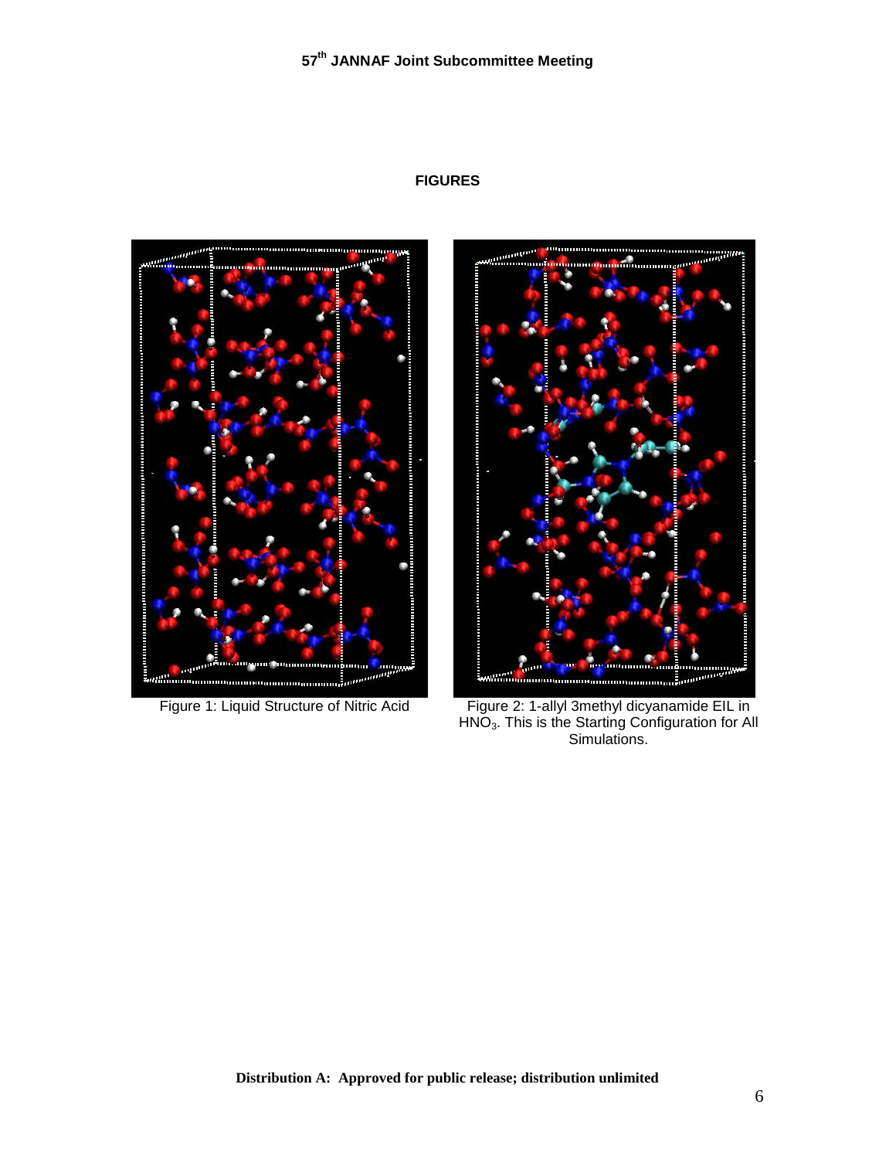# **57th JANNAF Joint Subcommittee Meeting**



# **FIGURES**

<span id="page-6-1"></span>



<span id="page-6-0"></span>Figure 1: Liquid Structure of Nitric Acid Figure 2: 1-allyl 3methyl dicyanamide EIL in  $HNO<sub>3</sub>$ . This is the Starting Configuration for All Simulations.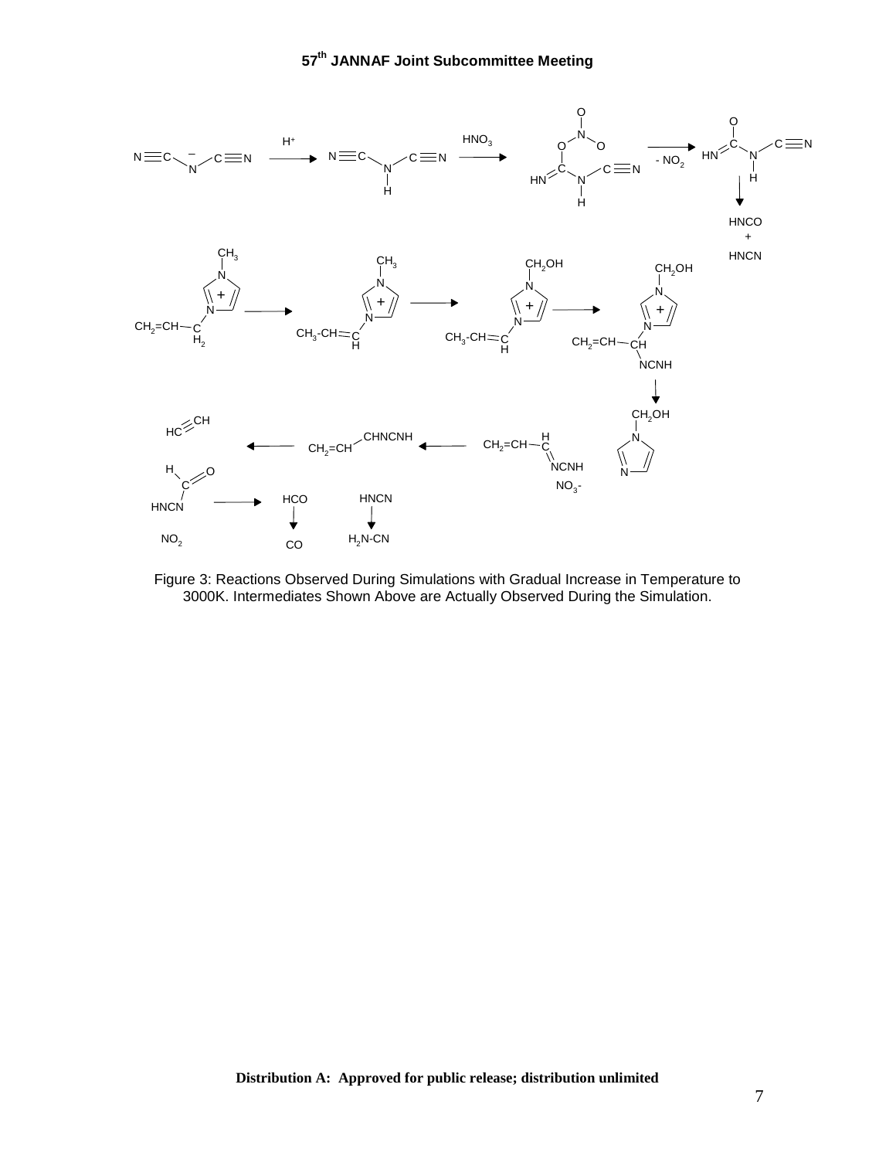

<span id="page-7-0"></span>Figure 3: Reactions Observed During Simulations with Gradual Increase in Temperature to 3000K. Intermediates Shown Above are Actually Observed During the Simulation.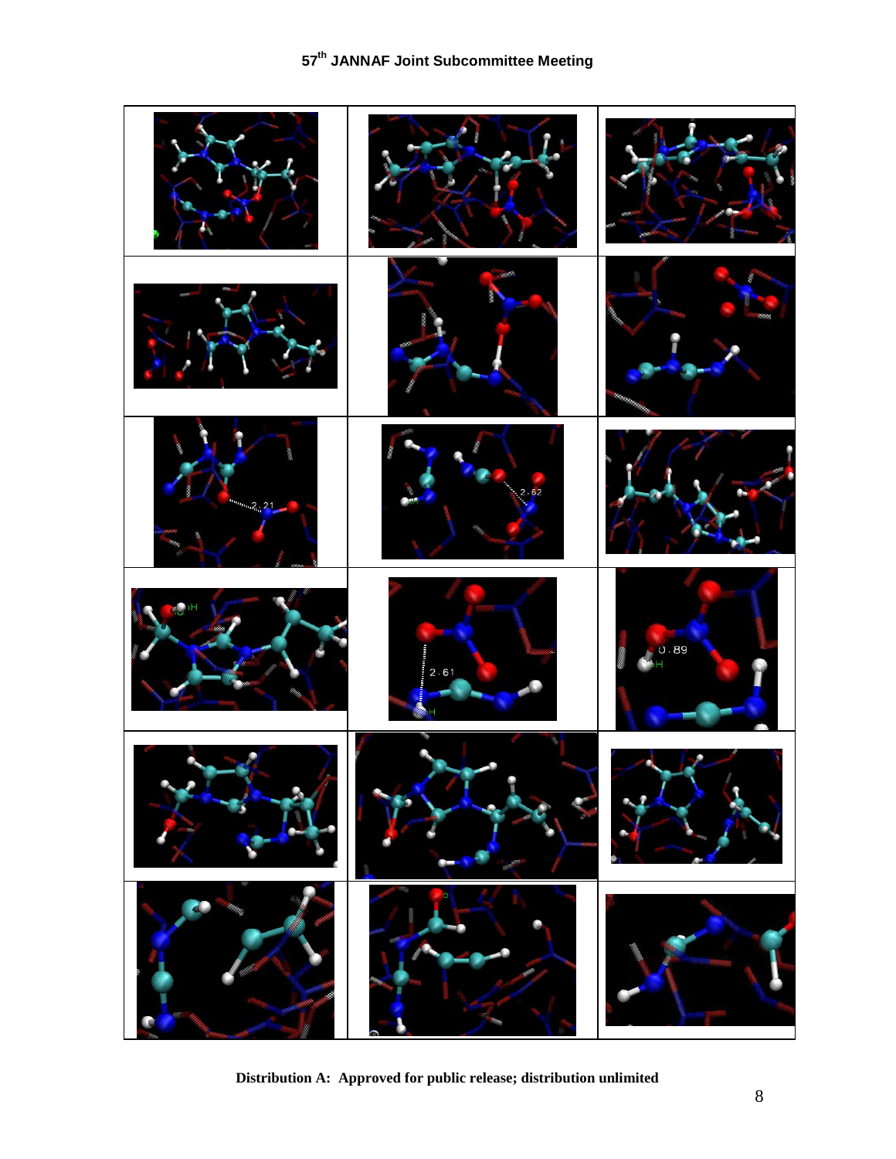

**Distribution A: Approved for public release; distribution unlimited**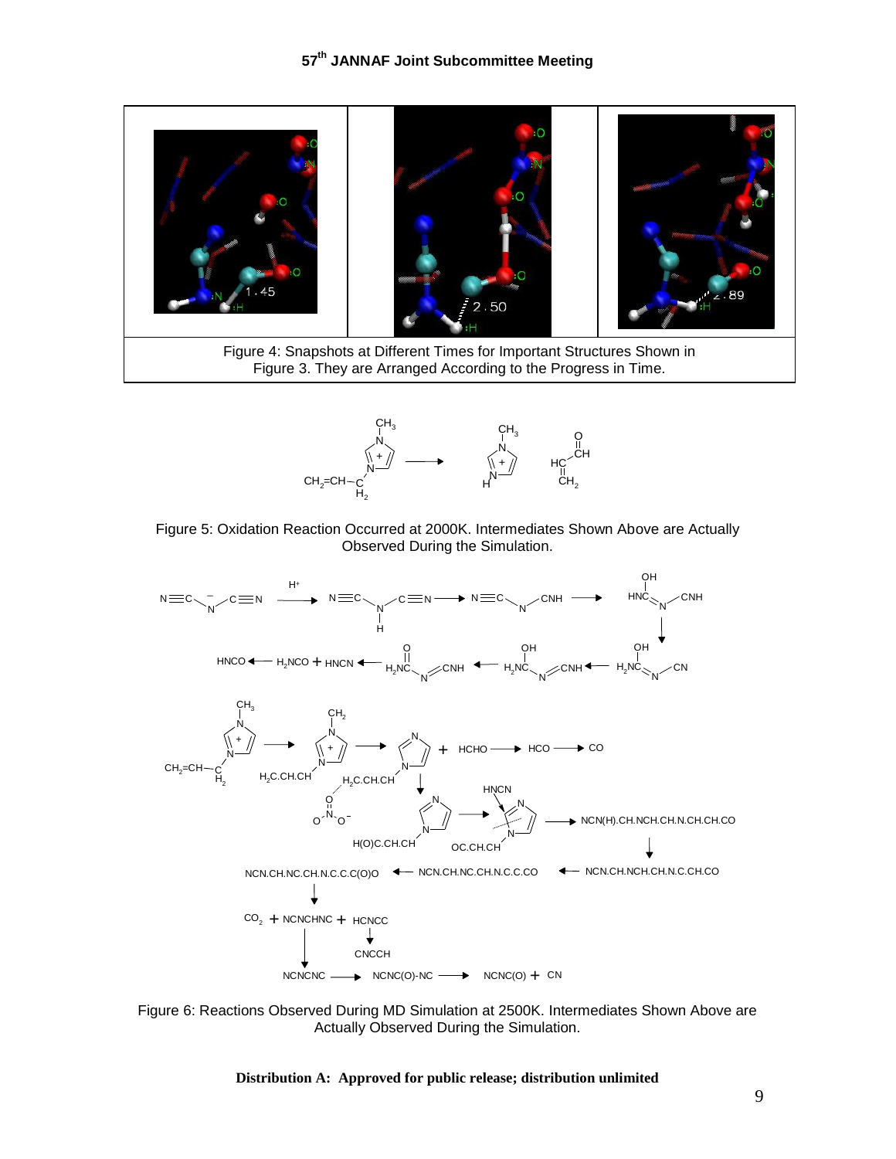



<span id="page-9-1"></span><span id="page-9-0"></span>Figure 5: Oxidation Reaction Occurred at 2000K. Intermediates Shown Above are Actually Observed During the Simulation.



<span id="page-9-2"></span>Figure 6: Reactions Observed During MD Simulation at 2500K. Intermediates Shown Above are Actually Observed During the Simulation.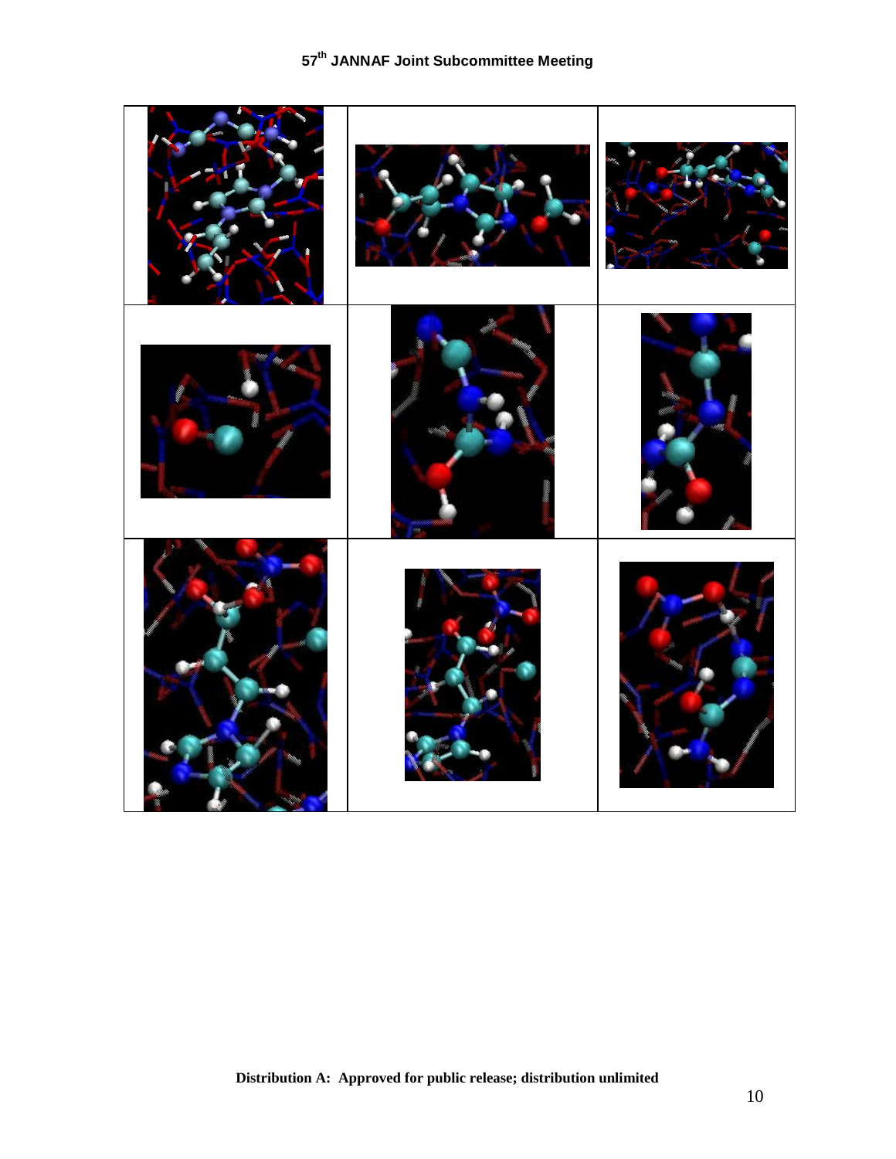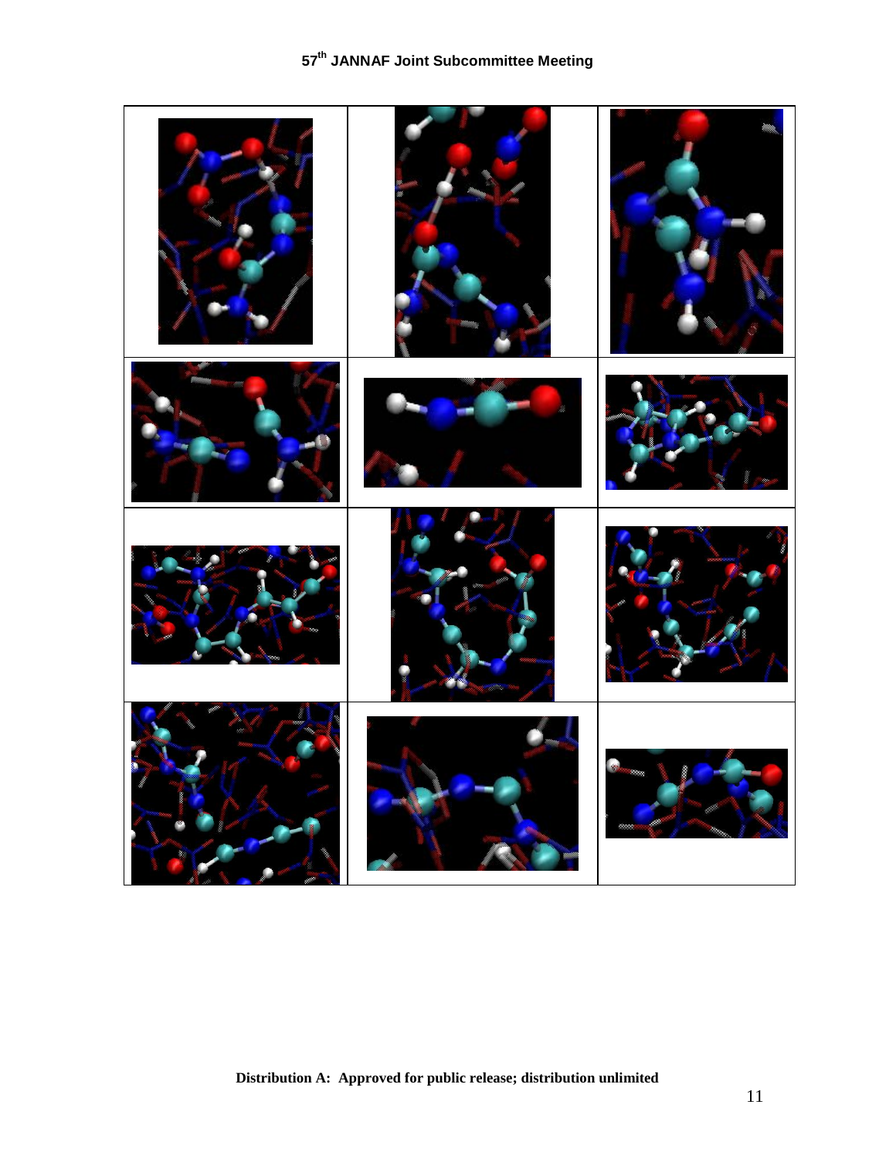

**Distribution A: Approved for public release; distribution unlimited**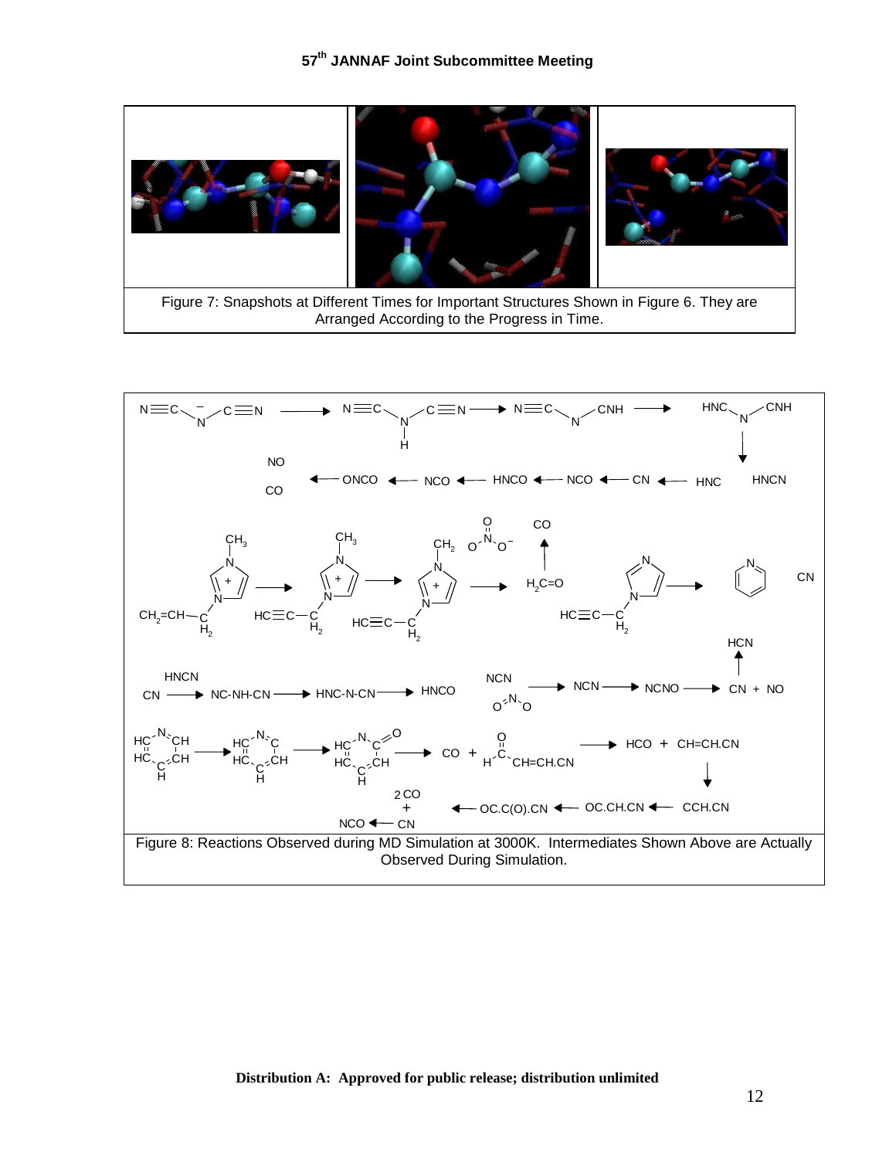

Arranged According to the Progress in Time.

<span id="page-12-1"></span><span id="page-12-0"></span>